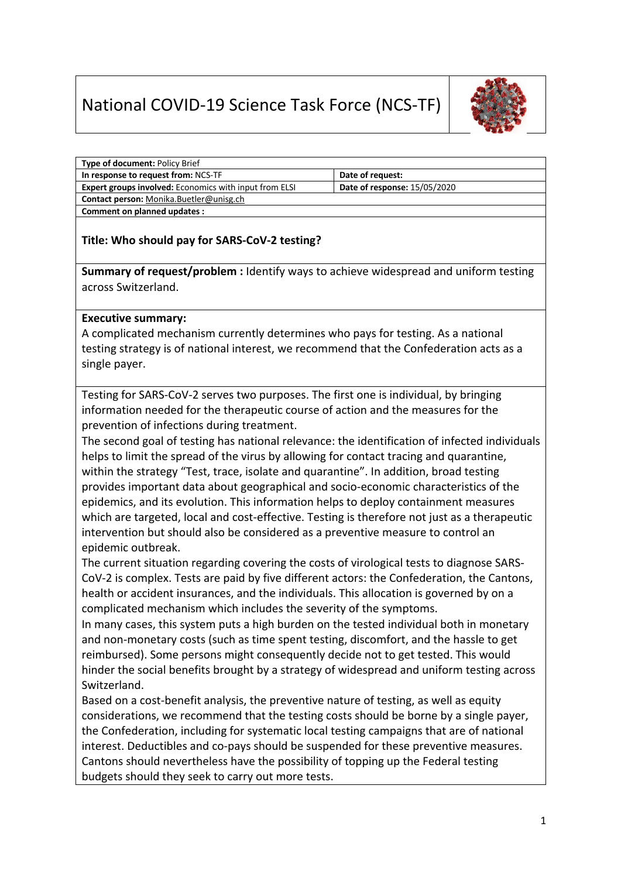## National COVID-19 Science Task Force (NCS-TF)



| <b>Type of document: Policy Brief</b>                         |                                     |
|---------------------------------------------------------------|-------------------------------------|
| In response to request from: NCS-TF                           | Date of request:                    |
| <b>Expert groups involved:</b> Economics with input from ELSI | <b>Date of response: 15/05/2020</b> |
| Contact person: Monika.Buetler@unisg.ch                       |                                     |
| Comment on planned updates :                                  |                                     |

## **Title: Who should pay for SARS-CoV-2 testing?**

**Summary of request/problem :** Identify ways to achieve widespread and uniform testing across Switzerland.

## **Executive summary:**

A complicated mechanism currently determines who pays for testing. As a national testing strategy is of national interest, we recommend that the Confederation acts as a single payer.

Testing for SARS-CoV-2 serves two purposes. The first one is individual, by bringing information needed for the therapeutic course of action and the measures for the prevention of infections during treatment.

The second goal of testing has national relevance: the identification of infected individuals helps to limit the spread of the virus by allowing for contact tracing and quarantine, within the strategy "Test, trace, isolate and quarantine". In addition, broad testing provides important data about geographical and socio-economic characteristics of the epidemics, and its evolution. This information helps to deploy containment measures which are targeted, local and cost-effective. Testing is therefore not just as a therapeutic intervention but should also be considered as a preventive measure to control an epidemic outbreak.

The current situation regarding covering the costs of virological tests to diagnose SARS-CoV-2 is complex. Tests are paid by five different actors: the Confederation, the Cantons, health or accident insurances, and the individuals. This allocation is governed by on a complicated mechanism which includes the severity of the symptoms.

In many cases, this system puts a high burden on the tested individual both in monetary and non-monetary costs (such as time spent testing, discomfort, and the hassle to get reimbursed). Some persons might consequently decide not to get tested. This would hinder the social benefits brought by a strategy of widespread and uniform testing across Switzerland.

Based on a cost-benefit analysis, the preventive nature of testing, as well as equity considerations, we recommend that the testing costs should be borne by a single payer, the Confederation, including for systematic local testing campaigns that are of national interest. Deductibles and co-pays should be suspended for these preventive measures. Cantons should nevertheless have the possibility of topping up the Federal testing budgets should they seek to carry out more tests.